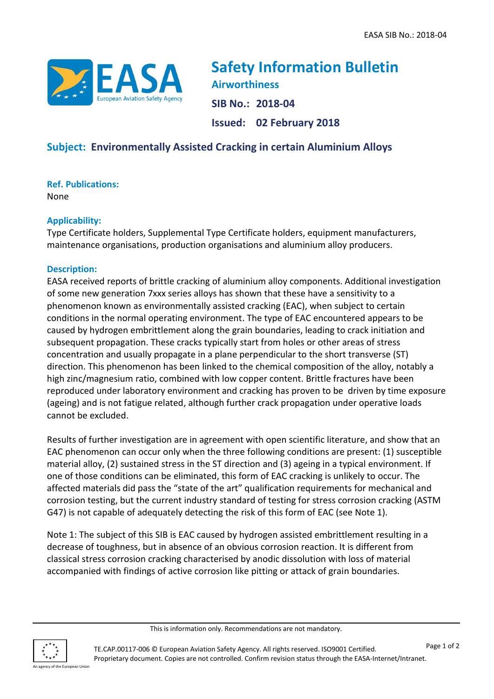

**Safety Information Bulletin Airworthiness SIB No.: 2018-04 Issued: 02 February 2018**

# **Subject: Environmentally Assisted Cracking in certain Aluminium Alloys**

**Ref. Publications:**

None

## **Applicability:**

Type Certificate holders, Supplemental Type Certificate holders, equipment manufacturers, maintenance organisations, production organisations and aluminium alloy producers.

## **Description:**

EASA received reports of brittle cracking of aluminium alloy components. Additional investigation of some new generation 7xxx series alloys has shown that these have a sensitivity to a phenomenon known as environmentally assisted cracking (EAC), when subject to certain conditions in the normal operating environment. The type of EAC encountered appears to be caused by hydrogen embrittlement along the grain boundaries, leading to crack initiation and subsequent propagation. These cracks typically start from holes or other areas of stress concentration and usually propagate in a plane perpendicular to the short transverse (ST) direction. This phenomenon has been linked to the chemical composition of the alloy, notably a high zinc/magnesium ratio, combined with low copper content. Brittle fractures have been reproduced under laboratory environment and cracking has proven to be driven by time exposure (ageing) and is not fatigue related, although further crack propagation under operative loads cannot be excluded.

Results of further investigation are in agreement with open scientific literature, and show that an EAC phenomenon can occur only when the three following conditions are present: (1) susceptible material alloy, (2) sustained stress in the ST direction and (3) ageing in a typical environment. If one of those conditions can be eliminated, this form of EAC cracking is unlikely to occur. The affected materials did pass the "state of the art" qualification requirements for mechanical and corrosion testing, but the current industry standard of testing for stress corrosion cracking (ASTM G47) is not capable of adequately detecting the risk of this form of EAC (see Note 1).

Note 1: The subject of this SIB is EAC caused by hydrogen assisted embrittlement resulting in a decrease of toughness, but in absence of an obvious corrosion reaction. It is different from classical stress corrosion cracking characterised by anodic dissolution with loss of material accompanied with findings of active corrosion like pitting or attack of grain boundaries.